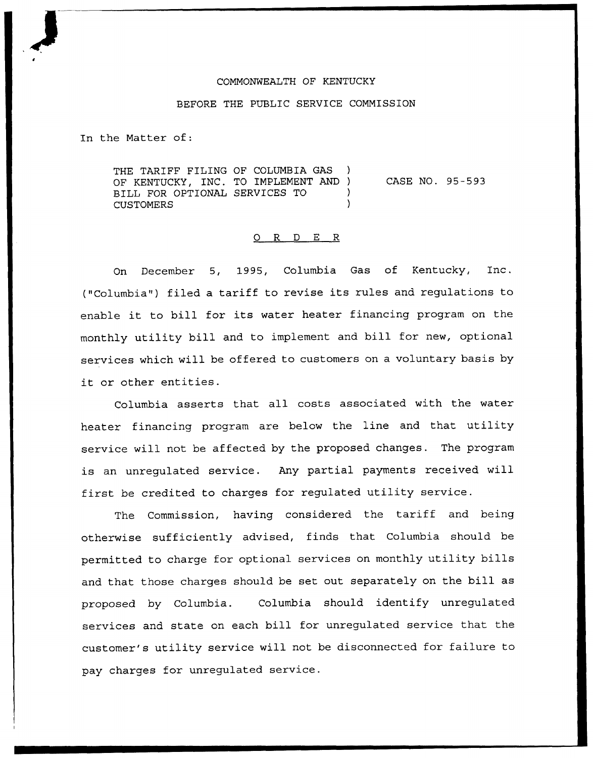## COMMONWEALTH OF KENTUCKY

## BEFORE THE PUBLIC SERVICE COMMISSION

In the Matter of:

THE TARIFF FILING OF COLUMBIA GAS OF KENTUCKY, INC. TO IMPLEMENT AND ) BILL FOR OPTIONAL SERVICES TO ) **CUSTOMERS** CASE NO. 95-593

## 0 R <sup>D</sup> E <sup>R</sup>

On December 5, 1995, Columbia Gas of Kentucky, 1nc. ("Columbia") filed a tariff to revise its rules and regulations to enable it to bill for its water heater financing program on the monthly utility bill and to implement and bill for new, optional services which will be offered to customers on a voluntary basis by it or other entities.

Columbia asserts that all costs associated with the water heater financing program are below the line and that utility service will not be affected by the proposed changes. The program is an unregulated service. Any partial payments received will first be credited to charges for regulated utility service.

The Commission, having considered the tariff and being otherwise sufficiently advised, finds that Columbia should be permitted to charge for optional services on monthly utility bills and that those charges should be set out separately on the bill as proposed by Columbia. Columbia should identify unregulated services and state on each bill for unregulated service that the customer's utility service will not be disconnected for failure to pay charges for unregulated service.